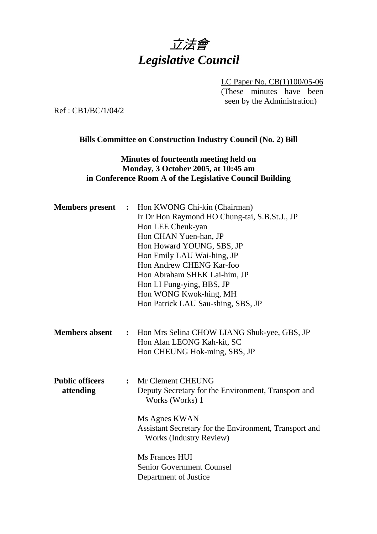# 立法會 *Legislative Council*

LC Paper No. CB(1)100/05-06 (These minutes have been seen by the Administration)

Ref : CB1/BC/1/04/2

#### **Bills Committee on Construction Industry Council (No. 2) Bill**

### **Minutes of fourteenth meeting held on Monday, 3 October 2005, at 10:45 am in Conference Room A of the Legislative Council Building**

| <b>Members</b> present              | $\ddot{\cdot}$ | Hon KWONG Chi-kin (Chairman)<br>Ir Dr Hon Raymond HO Chung-tai, S.B.St.J., JP<br>Hon LEE Cheuk-yan<br>Hon CHAN Yuen-han, JP<br>Hon Howard YOUNG, SBS, JP<br>Hon Emily LAU Wai-hing, JP<br>Hon Andrew CHENG Kar-foo<br>Hon Abraham SHEK Lai-him, JP<br>Hon LI Fung-ying, BBS, JP<br>Hon WONG Kwok-hing, MH<br>Hon Patrick LAU Sau-shing, SBS, JP |
|-------------------------------------|----------------|-------------------------------------------------------------------------------------------------------------------------------------------------------------------------------------------------------------------------------------------------------------------------------------------------------------------------------------------------|
| <b>Members absent</b>               |                | : Hon Mrs Selina CHOW LIANG Shuk-yee, GBS, JP<br>Hon Alan LEONG Kah-kit, SC<br>Hon CHEUNG Hok-ming, SBS, JP                                                                                                                                                                                                                                     |
| <b>Public officers</b><br>attending | $\ddot{\cdot}$ | Mr Clement CHEUNG<br>Deputy Secretary for the Environment, Transport and<br>Works (Works) 1<br>Ms Agnes KWAN<br>Assistant Secretary for the Environment, Transport and<br>Works (Industry Review)<br>Ms Frances HUI<br><b>Senior Government Counsel</b><br>Department of Justice                                                                |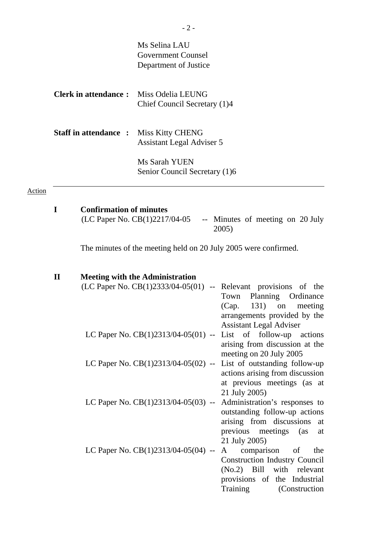|               |              |                                | Ms Selina LAU<br><b>Government Counsel</b><br>Department of Justice                                                                                                                                              |
|---------------|--------------|--------------------------------|------------------------------------------------------------------------------------------------------------------------------------------------------------------------------------------------------------------|
|               |              | <b>Clerk in attendance:</b>    | Miss Odelia LEUNG<br>Chief Council Secretary (1)4                                                                                                                                                                |
|               |              | <b>Staff in attendance:</b>    | <b>Miss Kitty CHENG</b><br>Assistant Legal Adviser 5                                                                                                                                                             |
|               |              |                                | Ms Sarah YUEN<br>Senior Council Secretary (1)6                                                                                                                                                                   |
| <b>Action</b> |              |                                |                                                                                                                                                                                                                  |
|               | I            | <b>Confirmation of minutes</b> | (LC Paper No. CB(1)2217/04-05<br>-- Minutes of meeting on 20 July<br>2005)                                                                                                                                       |
|               |              |                                | The minutes of the meeting held on 20 July 2005 were confirmed.                                                                                                                                                  |
|               | $\mathbf{I}$ |                                | <b>Meeting with the Administration</b><br>$(LC$ Paper No. $CB(1)2333/04-05(01)$ -- Relevant provisions of the<br>Planning<br>Ordinance<br>Town<br>131)<br>(Cap.<br>on<br>meeting<br>arrangements provided by the |
|               |              |                                | <b>Assistant Legal Adviser</b><br>LC Paper No. $CB(1)2313/04-05(01)$ -- List of follow-up actions<br>arising from discussion at the<br>meeting on 20 July 2005                                                   |
|               |              |                                | LC Paper No. $CB(1)2313/04-05(02)$ -- List of outstanding follow-up<br>actions arising from discussion<br>at previous meetings (as at<br>21 July 2005)                                                           |
|               |              |                                | LC Paper No. $CB(1)2313/04-05(03)$ -- Administration's responses to                                                                                                                                              |

outstanding follow-up actions arising from discussions at previous meetings (as at 21 July 2005) LC Paper No.  $CB(1)2313/04-05(04) - A$  comparison of the Construction Industry Council (No.2) Bill with relevant

provisions of the Industrial Training (Construction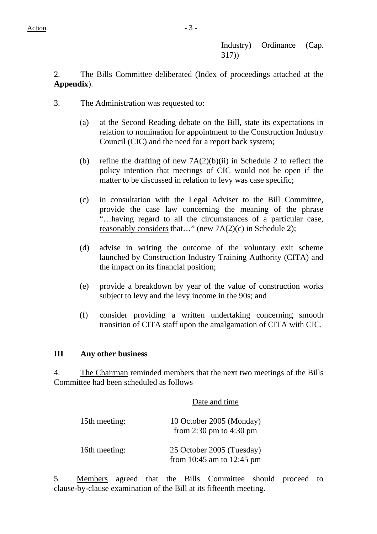Industry) Ordinance (Cap. 317))

2. The Bills Committee deliberated (Index of proceedings attached at the **Appendix**).

- 3. The Administration was requested to:
	- (a) at the Second Reading debate on the Bill, state its expectations in relation to nomination for appointment to the Construction Industry Council (CIC) and the need for a report back system;
	- (b) refine the drafting of new  $7A(2)(b)(ii)$  in Schedule 2 to reflect the policy intention that meetings of CIC would not be open if the matter to be discussed in relation to levy was case specific;
	- (c) in consultation with the Legal Adviser to the Bill Committee, provide the case law concerning the meaning of the phrase "…having regard to all the circumstances of a particular case, reasonably considers that..." (new  $7A(2)(c)$  in Schedule 2);
	- (d) advise in writing the outcome of the voluntary exit scheme launched by Construction Industry Training Authority (CITA) and the impact on its financial position;
	- (e) provide a breakdown by year of the value of construction works subject to levy and the levy income in the 90s; and
	- (f) consider providing a written undertaking concerning smooth transition of CITA staff upon the amalgamation of CITA with CIC.

### **III Any other business**

4. The Chairman reminded members that the next two meetings of the Bills Committee had been scheduled as follows –

|               | Date and time                                          |  |
|---------------|--------------------------------------------------------|--|
| 15th meeting: | 10 October 2005 (Monday)<br>from 2:30 pm to 4:30 pm    |  |
| 16th meeting: | 25 October 2005 (Tuesday)<br>from 10:45 am to 12:45 pm |  |

5. Members agreed that the Bills Committee should proceed to clause-by-clause examination of the Bill at its fifteenth meeting.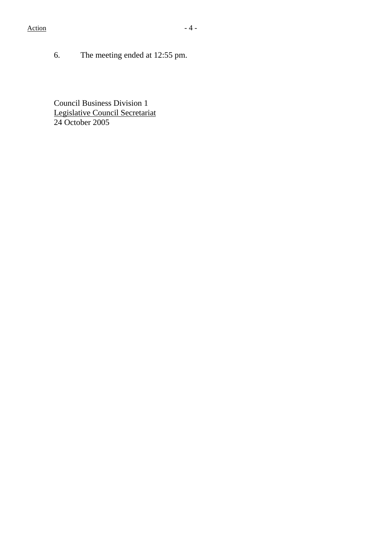6. The meeting ended at 12:55 pm.

Council Business Division 1 Legislative Council Secretariat 24 October 2005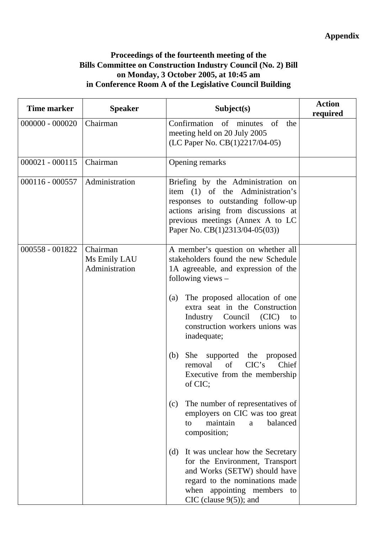## **Proceedings of the fourteenth meeting of the Bills Committee on Construction Industry Council (No. 2) Bill on Monday, 3 October 2005, at 10:45 am in Conference Room A of the Legislative Council Building**

| Time marker       | <b>Speaker</b>                             | Subject(s)                                                                                                                                                                                                                                                                                                                                                                                                                                                                                                                                                                                                                                                                                                                                                                     | <b>Action</b><br>required |
|-------------------|--------------------------------------------|--------------------------------------------------------------------------------------------------------------------------------------------------------------------------------------------------------------------------------------------------------------------------------------------------------------------------------------------------------------------------------------------------------------------------------------------------------------------------------------------------------------------------------------------------------------------------------------------------------------------------------------------------------------------------------------------------------------------------------------------------------------------------------|---------------------------|
| $000000 - 000020$ | Chairman                                   | Confirmation of minutes<br>of<br>the<br>meeting held on 20 July 2005<br>(LC Paper No. CB(1)2217/04-05)                                                                                                                                                                                                                                                                                                                                                                                                                                                                                                                                                                                                                                                                         |                           |
| $000021 - 000115$ | Chairman                                   | Opening remarks                                                                                                                                                                                                                                                                                                                                                                                                                                                                                                                                                                                                                                                                                                                                                                |                           |
| $000116 - 000557$ | Administration                             | Briefing by the Administration on<br>item (1) of the Administration's<br>responses to outstanding follow-up<br>actions arising from discussions at<br>previous meetings (Annex A to LC<br>Paper No. CB(1)2313/04-05(03))                                                                                                                                                                                                                                                                                                                                                                                                                                                                                                                                                       |                           |
| 000558 - 001822   | Chairman<br>Ms Emily LAU<br>Administration | A member's question on whether all<br>stakeholders found the new Schedule<br>1A agreeable, and expression of the<br>following views -<br>The proposed allocation of one<br>(a)<br>extra seat in the Construction<br>Industry Council (CIC)<br>to<br>construction workers unions was<br>inadequate;<br>She<br>supported the proposed<br>(b)<br>CIC's<br>of<br>Chief<br>removal<br>Executive from the membership<br>of CIC;<br>The number of representatives of<br>(c)<br>employers on CIC was too great<br>balanced<br>maintain<br>$\mathbf{a}$<br>to<br>composition;<br>It was unclear how the Secretary<br>(d)<br>for the Environment, Transport<br>and Works (SETW) should have<br>regard to the nominations made<br>when appointing members to<br>CIC (clause $9(5)$ ); and |                           |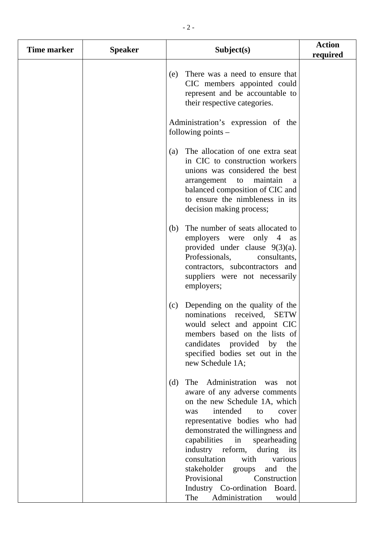| <b>Time marker</b> | <b>Speaker</b> | Subject(s)                                                                                                                                                                                                                                                                                                                                                                                                                                                        | <b>Action</b><br>required |
|--------------------|----------------|-------------------------------------------------------------------------------------------------------------------------------------------------------------------------------------------------------------------------------------------------------------------------------------------------------------------------------------------------------------------------------------------------------------------------------------------------------------------|---------------------------|
|                    |                | There was a need to ensure that<br>(e)<br>CIC members appointed could<br>represent and be accountable to<br>their respective categories.                                                                                                                                                                                                                                                                                                                          |                           |
|                    |                | Administration's expression of the<br>following points $-$                                                                                                                                                                                                                                                                                                                                                                                                        |                           |
|                    |                | The allocation of one extra seat<br>(a)<br>in CIC to construction workers<br>unions was considered the best<br>maintain<br>arrangement<br>to<br>a<br>balanced composition of CIC and<br>to ensure the nimbleness in its<br>decision making process;                                                                                                                                                                                                               |                           |
|                    |                | The number of seats allocated to<br>(b)<br>employers were<br>only<br>$4 \text{ as}$<br>provided under clause $9(3)(a)$ .<br>Professionals,<br>consultants,<br>contractors, subcontractors and<br>suppliers were not necessarily<br>employers;                                                                                                                                                                                                                     |                           |
|                    |                | Depending on the quality of the<br>(c)<br>nominations received,<br><b>SETW</b><br>would select and appoint CIC<br>members based on the lists of<br>candidates provided by the<br>specified bodies set out in the<br>new Schedule 1A;                                                                                                                                                                                                                              |                           |
|                    |                | The Administration was<br>(d)<br>not<br>aware of any adverse comments<br>on the new Schedule 1A, which<br>intended<br>to<br>cover<br>was<br>representative bodies who had<br>demonstrated the willingness and<br>capabilities<br>spearheading<br>in<br>industry reform,<br>during its<br>consultation<br>with<br>various<br>stakeholder<br>and<br>the<br>groups<br>Provisional<br>Construction<br>Industry Co-ordination Board.<br>The<br>Administration<br>would |                           |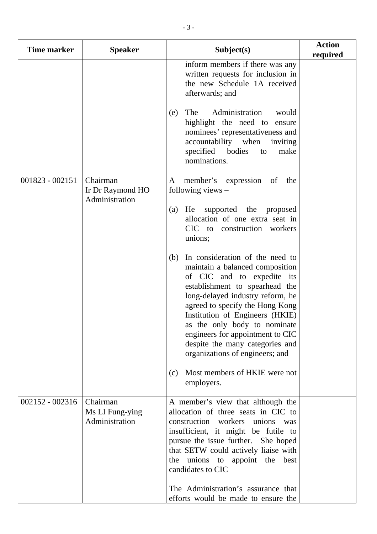| <b>Time marker</b> | <b>Speaker</b>                                 | Subject(s)                                                                                                                                                                                                                                                                                                                                                                                                                            | <b>Action</b><br>required |
|--------------------|------------------------------------------------|---------------------------------------------------------------------------------------------------------------------------------------------------------------------------------------------------------------------------------------------------------------------------------------------------------------------------------------------------------------------------------------------------------------------------------------|---------------------------|
|                    |                                                | inform members if there was any<br>written requests for inclusion in<br>the new Schedule 1A received<br>afterwards; and                                                                                                                                                                                                                                                                                                               |                           |
|                    |                                                | The<br>Administration<br>would<br>(e)<br>highlight the need to ensure<br>nominees' representativeness and<br>accountability when<br>inviting<br>specified bodies<br>make<br>to<br>nominations.                                                                                                                                                                                                                                        |                           |
| 001823 - 002151    | Chairman<br>Ir Dr Raymond HO<br>Administration | of<br>member's expression<br>the<br>A<br>following views $-$                                                                                                                                                                                                                                                                                                                                                                          |                           |
|                    |                                                | He supported the proposed<br>(a)<br>allocation of one extra seat in<br>CIC to construction workers<br>unions;                                                                                                                                                                                                                                                                                                                         |                           |
|                    |                                                | In consideration of the need to<br>(b)<br>maintain a balanced composition<br>of CIC and to expedite its<br>establishment to spearhead the<br>long-delayed industry reform, he<br>agreed to specify the Hong Kong<br>Institution of Engineers (HKIE)<br>as the only body to nominate<br>engineers for appointment to CIC<br>despite the many categories and<br>organizations of engineers; and<br>Most members of HKIE were not<br>(c) |                           |
|                    |                                                | employers.                                                                                                                                                                                                                                                                                                                                                                                                                            |                           |
| $002152 - 002316$  | Chairman<br>Ms LI Fung-ying<br>Administration  | A member's view that although the<br>allocation of three seats in CIC to<br>construction workers unions was<br>insufficient, it might be futile to<br>pursue the issue further. She hoped<br>that SETW could actively liaise with<br>unions to appoint the<br>best<br>the<br>candidates to CIC<br>The Administration's assurance that<br>efforts would be made to ensure the                                                          |                           |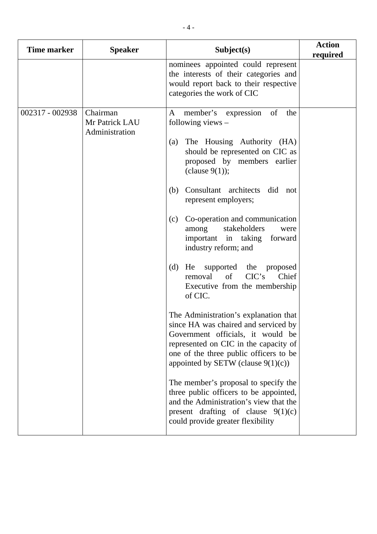| <b>Time marker</b> | <b>Speaker</b>                               | Subject(s)                                                                                                                                                                                                                                                                                                                                                                                                                                                                                                                                                                                                                                                                                                                                                                                                                                                                                                                                                              | <b>Action</b><br>required |
|--------------------|----------------------------------------------|-------------------------------------------------------------------------------------------------------------------------------------------------------------------------------------------------------------------------------------------------------------------------------------------------------------------------------------------------------------------------------------------------------------------------------------------------------------------------------------------------------------------------------------------------------------------------------------------------------------------------------------------------------------------------------------------------------------------------------------------------------------------------------------------------------------------------------------------------------------------------------------------------------------------------------------------------------------------------|---------------------------|
|                    |                                              | nominees appointed could represent<br>the interests of their categories and<br>would report back to their respective<br>categories the work of CIC                                                                                                                                                                                                                                                                                                                                                                                                                                                                                                                                                                                                                                                                                                                                                                                                                      |                           |
| 002317 - 002938    | Chairman<br>Mr Patrick LAU<br>Administration | of<br>the<br>A<br>member's expression<br>following views $-$<br>The Housing Authority (HA)<br>(a)<br>should be represented on CIC as<br>proposed by members earlier<br>(clause $9(1)$ );<br>Consultant architects did not<br>(b)<br>represent employers;<br>Co-operation and communication<br>(c)<br>stakeholders<br>among<br>were<br>important in taking forward<br>industry reform; and<br>(d)<br>He supported the proposed<br>CIC's<br>of<br>Chief<br>removal<br>Executive from the membership<br>of CIC.<br>The Administration's explanation that<br>since HA was chaired and serviced by<br>Government officials, it would be<br>represented on CIC in the capacity of<br>one of the three public officers to be<br>appointed by SETW (clause $9(1)(c)$ )<br>The member's proposal to specify the<br>three public officers to be appointed,<br>and the Administration's view that the<br>present drafting of clause $9(1)(c)$<br>could provide greater flexibility |                           |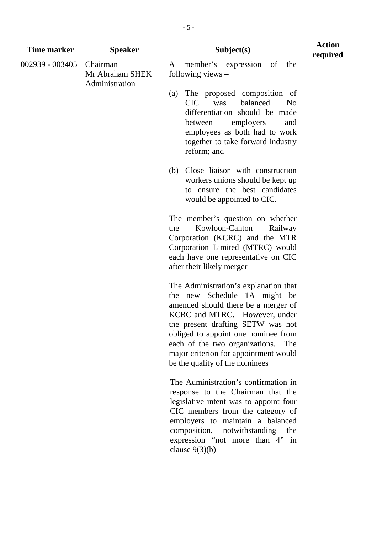| <b>Time marker</b> | <b>Speaker</b>                                | Subject(s)                                                                                                                                                                                                                                                                                                                                    | <b>Action</b><br>required |
|--------------------|-----------------------------------------------|-----------------------------------------------------------------------------------------------------------------------------------------------------------------------------------------------------------------------------------------------------------------------------------------------------------------------------------------------|---------------------------|
| 002939 - 003405    | Chairman<br>Mr Abraham SHEK<br>Administration | of<br>member's expression<br>A<br>the<br>following views $-$<br>The proposed composition of<br>(a)<br><b>CIC</b><br>balanced.<br>was<br>N <sub>0</sub><br>differentiation should be made                                                                                                                                                      |                           |
|                    |                                               | employers<br>between<br>and<br>employees as both had to work<br>together to take forward industry<br>reform; and                                                                                                                                                                                                                              |                           |
|                    |                                               | Close liaison with construction<br>(b)<br>workers unions should be kept up<br>to ensure the best candidates<br>would be appointed to CIC.                                                                                                                                                                                                     |                           |
|                    |                                               | The member's question on whether<br>Kowloon-Canton<br>Railway<br>the<br>Corporation (KCRC) and the MTR<br>Corporation Limited (MTRC) would<br>each have one representative on CIC<br>after their likely merger                                                                                                                                |                           |
|                    |                                               | The Administration's explanation that<br>the new Schedule 1A might be<br>amended should there be a merger of<br>KCRC and MTRC. However, under<br>the present drafting SETW was not<br>obliged to appoint one nominee from<br>each of the two organizations.<br>The<br>major criterion for appointment would<br>be the quality of the nominees |                           |
|                    |                                               | The Administration's confirmation in<br>response to the Chairman that the<br>legislative intent was to appoint four<br>CIC members from the category of<br>employers to maintain a balanced<br>composition, notwithstanding<br>the<br>expression "not more than 4" in<br>clause $9(3)(b)$                                                     |                           |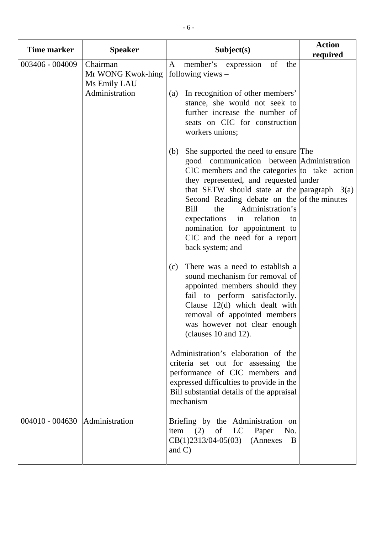| <b>Time marker</b> | <b>Speaker</b>                                                  | Subject(s)                                                                                                                                                                                                                                                                                                                                                                                                                                                                                                                                                                                                                                                                                                                                                                                                                                                                                            | <b>Action</b><br>required |
|--------------------|-----------------------------------------------------------------|-------------------------------------------------------------------------------------------------------------------------------------------------------------------------------------------------------------------------------------------------------------------------------------------------------------------------------------------------------------------------------------------------------------------------------------------------------------------------------------------------------------------------------------------------------------------------------------------------------------------------------------------------------------------------------------------------------------------------------------------------------------------------------------------------------------------------------------------------------------------------------------------------------|---------------------------|
| 003406 - 004009    | Chairman<br>Mr WONG Kwok-hing<br>Ms Emily LAU<br>Administration | of<br>the<br>A<br>member's expression<br>following views $-$<br>In recognition of other members'<br>(a)<br>stance, she would not seek to<br>further increase the number of<br>seats on CIC for construction<br>workers unions;                                                                                                                                                                                                                                                                                                                                                                                                                                                                                                                                                                                                                                                                        |                           |
|                    |                                                                 | She supported the need to ensure The<br>(b)<br>good communication between Administration<br>$CIC$ members and the categories to take action<br>they represented, and requested under<br>that SETW should state at the $\vert$ paragraph 3(a)<br>Second Reading debate on the of the minutes<br>Bill<br>Administration's<br>the<br>expectations<br>in<br>relation<br>to<br>nomination for appointment to<br>CIC and the need for a report<br>back system; and<br>There was a need to establish a<br>(c)<br>sound mechanism for removal of<br>appointed members should they<br>fail to perform satisfactorily.<br>Clause 12(d) which dealt with<br>removal of appointed members<br>was however not clear enough<br>(clauses $10$ and $12$ ).<br>Administration's elaboration of the<br>criteria set out for assessing the<br>performance of CIC members and<br>expressed difficulties to provide in the |                           |
|                    |                                                                 | Bill substantial details of the appraisal<br>mechanism                                                                                                                                                                                                                                                                                                                                                                                                                                                                                                                                                                                                                                                                                                                                                                                                                                                |                           |
| $004010 - 004630$  | Administration                                                  | Briefing by the Administration on<br>item (2) of LC Paper<br>No.<br>$CB(1)2313/04-05(03)$<br>(Annexes)<br>B<br>and $C$ )                                                                                                                                                                                                                                                                                                                                                                                                                                                                                                                                                                                                                                                                                                                                                                              |                           |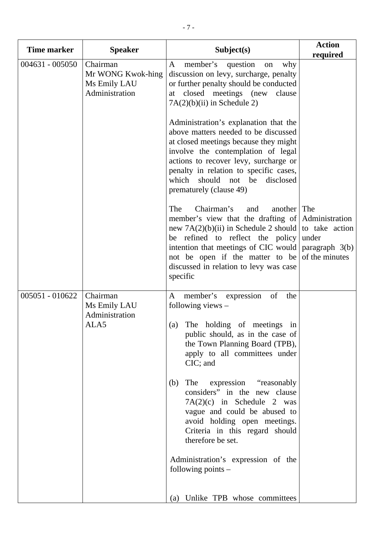| <b>Time marker</b> | <b>Speaker</b>                                                  | Subject(s)                                                                                                                                                                                                                                                                                                                                                                                                                                                                                                                                               | <b>Action</b><br>required                          |
|--------------------|-----------------------------------------------------------------|----------------------------------------------------------------------------------------------------------------------------------------------------------------------------------------------------------------------------------------------------------------------------------------------------------------------------------------------------------------------------------------------------------------------------------------------------------------------------------------------------------------------------------------------------------|----------------------------------------------------|
| $004631 - 005050$  | Chairman<br>Mr WONG Kwok-hing<br>Ms Emily LAU<br>Administration | member's<br>A<br>question<br>why<br>on<br>discussion on levy, surcharge, penalty<br>or further penalty should be conducted<br>closed meetings (new<br>clause<br>at<br>$7A(2)(b)(ii)$ in Schedule 2)<br>Administration's explanation that the<br>above matters needed to be discussed<br>at closed meetings because they might<br>involve the contemplation of legal<br>actions to recover levy, surcharge or                                                                                                                                             |                                                    |
|                    |                                                                 | penalty in relation to specific cases,<br>which should not be<br>disclosed<br>prematurely (clause 49)<br>The<br>Chairman's<br>another<br>and<br>member's view that the drafting of Administration<br>new $7A(2)(b)(ii)$ in Schedule 2 should to take action<br>be refined to reflect the policy<br>intention that meetings of CIC would<br>not be open if the matter to be<br>discussed in relation to levy was case<br>specific                                                                                                                         | The<br>under<br>paragraph $3(b)$<br>of the minutes |
| 005051 - 010622    | Chairman<br>Ms Emily LAU<br>Administration<br>ALA5              | expression<br>member's<br>of<br>the<br>A<br>following views $-$<br>(a) The holding of meetings in<br>public should, as in the case of<br>the Town Planning Board (TPB),<br>apply to all committees under<br>CIC; and<br>The<br>expression "reasonably"<br>(b)<br>considers" in the new clause<br>$7A(2)(c)$ in Schedule 2 was<br>vague and could be abused to<br>avoid holding open meetings.<br>Criteria in this regard should<br>therefore be set.<br>Administration's expression of the<br>following points $-$<br>Unlike TPB whose committees<br>(a) |                                                    |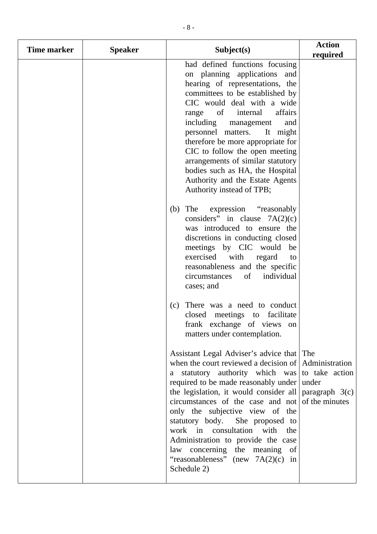| Time marker | <b>Speaker</b> | Subject(s)                                                                                                                                                                                                                                                                                                                                                                                                                                                                                                                                         | <b>Action</b><br>required |
|-------------|----------------|----------------------------------------------------------------------------------------------------------------------------------------------------------------------------------------------------------------------------------------------------------------------------------------------------------------------------------------------------------------------------------------------------------------------------------------------------------------------------------------------------------------------------------------------------|---------------------------|
|             |                | had defined functions focusing<br>on planning applications and<br>hearing of representations, the<br>committees to be established by<br>CIC would deal with a wide<br>affairs<br>of<br>internal<br>range<br>including<br>management<br>and<br>personnel matters.<br>It might<br>therefore be more appropriate for<br>CIC to follow the open meeting<br>arrangements of similar statutory<br>bodies such as HA, the Hospital<br>Authority and the Estate Agents<br>Authority instead of TPB;                                                        |                           |
|             |                | The<br>expression "reasonably"<br>(b)<br>considers" in clause $7A(2)(c)$<br>was introduced to ensure the<br>discretions in conducting closed<br>meetings by CIC would be<br>exercised with<br>regard<br>to<br>reasonableness and the specific<br>individual<br>circumstances<br>of<br>cases; and                                                                                                                                                                                                                                                   |                           |
|             |                | There was a need to conduct<br>(c)<br>closed meetings to facilitate<br>frank exchange of views on<br>matters under contemplation.                                                                                                                                                                                                                                                                                                                                                                                                                  |                           |
|             |                | Assistant Legal Adviser's advice that The<br>when the court reviewed a decision of Administration<br>statutory authority which was to take action<br>a -<br>required to be made reasonably under<br>the legislation, it would consider all $\vert$ paragraph $3(c)$<br>circumstances of the case and not<br>only the subjective view of the<br>statutory body. She proposed to<br>work in consultation with<br>the<br>Administration to provide the case<br>law concerning the meaning of<br>"reasonableness" (new $7A(2)(c)$<br>in<br>Schedule 2) | under<br>of the minutes   |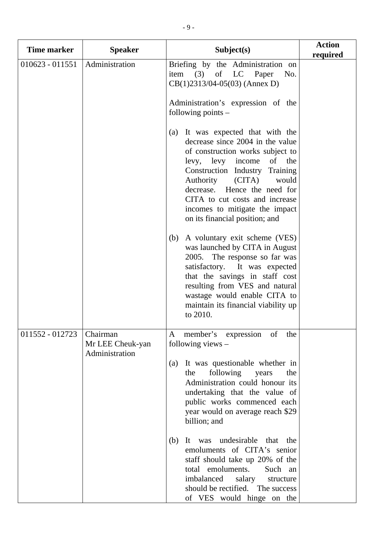| <b>Time marker</b> | <b>Speaker</b>                                 | Subject(s)                                                                                                                                                                                                                                                                                                                                                                                                                                                                                                                                                                                                                                                   | <b>Action</b><br>required |
|--------------------|------------------------------------------------|--------------------------------------------------------------------------------------------------------------------------------------------------------------------------------------------------------------------------------------------------------------------------------------------------------------------------------------------------------------------------------------------------------------------------------------------------------------------------------------------------------------------------------------------------------------------------------------------------------------------------------------------------------------|---------------------------|
| $010623 - 011551$  | Administration                                 | Briefing by the Administration on<br>item $(3)$<br>of LC Paper<br>No.<br>$CB(1)2313/04-05(03)$ (Annex D)<br>Administration's expression of the<br>following points $-$                                                                                                                                                                                                                                                                                                                                                                                                                                                                                       |                           |
|                    |                                                | (a) It was expected that with the<br>decrease since 2004 in the value<br>of construction works subject to<br>levy, levy income<br>of the<br>Construction Industry Training<br>$\Gamma$ (CITA)<br>Authority<br>would<br>decrease. Hence the need for<br>CITA to cut costs and increase<br>incomes to mitigate the impact<br>on its financial position; and<br>A voluntary exit scheme (VES)<br>(b)<br>was launched by CITA in August<br>2005. The response so far was<br>satisfactory. It was expected<br>that the savings in staff cost<br>resulting from VES and natural<br>wastage would enable CITA to<br>maintain its financial viability up<br>to 2010. |                           |
| 011552 - 012723    | Chairman<br>Mr LEE Cheuk-yan<br>Administration | member's<br>of<br>expression<br>A<br>the<br>following views $-$                                                                                                                                                                                                                                                                                                                                                                                                                                                                                                                                                                                              |                           |
|                    |                                                | It was questionable whether in<br>(a)<br>following<br>the<br>years<br>the<br>Administration could honour its<br>undertaking that the value of<br>public works commenced each<br>year would on average reach \$29<br>billion; and                                                                                                                                                                                                                                                                                                                                                                                                                             |                           |
|                    |                                                | undesirable<br>(b)<br>It was<br>that the<br>emoluments of CITA's senior<br>staff should take up 20% of the<br>total emoluments.<br>Such an<br>imbalanced<br>salary<br>structure<br>should be rectified. The success<br>of VES would hinge on the                                                                                                                                                                                                                                                                                                                                                                                                             |                           |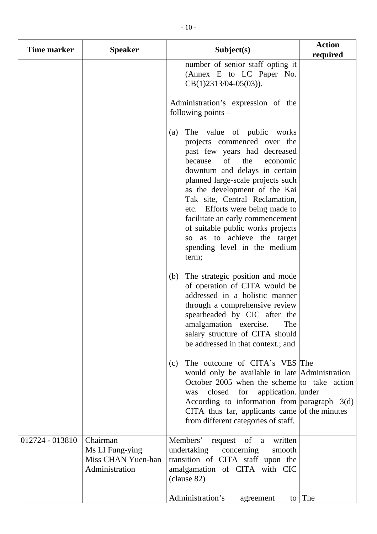| <b>Time marker</b> | <b>Speaker</b>                                                      | Subject(s)                                                                                                                                                                                                                                                                                                                                                                                                                                                        | <b>Action</b><br>required |
|--------------------|---------------------------------------------------------------------|-------------------------------------------------------------------------------------------------------------------------------------------------------------------------------------------------------------------------------------------------------------------------------------------------------------------------------------------------------------------------------------------------------------------------------------------------------------------|---------------------------|
|                    |                                                                     | number of senior staff opting it<br>(Annex E to LC Paper No.<br>$CB(1)2313/04-05(03)).$<br>Administration's expression of the<br>following points $-$                                                                                                                                                                                                                                                                                                             |                           |
|                    |                                                                     | The value of public works<br>(a)<br>projects commenced over the<br>past few years had decreased<br>of<br>the<br>because<br>economic<br>downturn and delays in certain<br>planned large-scale projects such<br>as the development of the Kai<br>Tak site, Central Reclamation,<br>etc. Efforts were being made to<br>facilitate an early commencement<br>of suitable public works projects<br>so as to achieve the target<br>spending level in the medium<br>term; |                           |
|                    |                                                                     | The strategic position and mode<br>(b)<br>of operation of CITA would be<br>addressed in a holistic manner<br>through a comprehensive review<br>spearheaded by CIC after the<br>amalgamation exercise.<br>The<br>salary structure of CITA should<br>be addressed in that context.; and                                                                                                                                                                             |                           |
|                    |                                                                     | The outcome of CITA's VES The<br>(c)<br>would only be available in late Administration<br>October 2005 when the scheme to take action<br>application. under<br>closed for<br>was<br>According to information from $\alpha$ paragraph 3(d)<br>CITA thus far, applicants came of the minutes<br>from different categories of staff.                                                                                                                                 |                           |
| 012724 - 013810    | Chairman<br>Ms LI Fung-ying<br>Miss CHAN Yuen-han<br>Administration | Members'<br>request of a<br>written<br>undertaking<br>concerning<br>smooth<br>transition of CITA staff upon the<br>amalgamation of CITA with CIC<br>(clause 82)                                                                                                                                                                                                                                                                                                   |                           |
|                    |                                                                     | Administration's<br>agreement                                                                                                                                                                                                                                                                                                                                                                                                                                     | to The                    |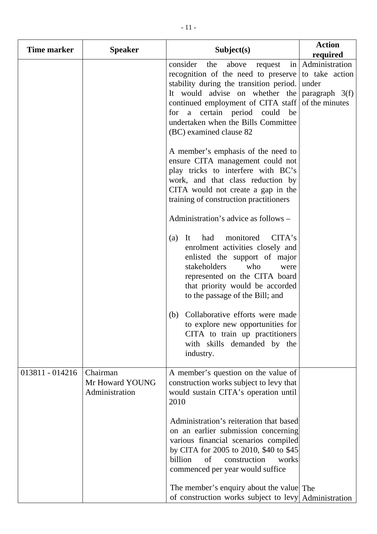| <b>Time marker</b> | <b>Speaker</b>                                | Subject(s)                                                                                                                                                                                                                                                                                                                                                                                                     | <b>Action</b><br>required                                                       |
|--------------------|-----------------------------------------------|----------------------------------------------------------------------------------------------------------------------------------------------------------------------------------------------------------------------------------------------------------------------------------------------------------------------------------------------------------------------------------------------------------------|---------------------------------------------------------------------------------|
|                    |                                               | consider<br>the<br>above<br>$\left  \text{in} \right $<br>request<br>recognition of the need to preserve<br>stability during the transition period.<br>It would advise on whether the<br>continued employment of CITA staff<br>for a certain period could<br>be<br>undertaken when the Bills Committee<br>(BC) examined clause 82                                                                              | Administration<br>to take action<br>under<br>paragraph $3(f)$<br>of the minutes |
|                    |                                               | A member's emphasis of the need to<br>ensure CITA management could not<br>play tricks to interfere with BC's<br>work, and that class reduction by<br>CITA would not create a gap in the<br>training of construction practitioners                                                                                                                                                                              |                                                                                 |
|                    |                                               | Administration's advice as follows –                                                                                                                                                                                                                                                                                                                                                                           |                                                                                 |
|                    |                                               | monitored<br>CITA's<br>It<br>had<br>(a)<br>enrolment activities closely and<br>enlisted the support of major<br>stakeholders<br>who<br>were<br>represented on the CITA board<br>that priority would be accorded<br>to the passage of the Bill; and<br>Collaborative efforts were made<br>(b)<br>to explore new opportunities for<br>CITA to train up practitioners<br>with skills demanded by the<br>industry. |                                                                                 |
| 013811 - 014216    | Chairman<br>Mr Howard YOUNG<br>Administration | A member's question on the value of<br>construction works subject to levy that<br>would sustain CITA's operation until<br>2010<br>Administration's reiteration that based<br>on an earlier submission concerning<br>various financial scenarios compiled<br>by CITA for 2005 to 2010, \$40 to \$45<br>billion<br>of<br>construction<br>works<br>commenced per year would suffice                               |                                                                                 |
|                    |                                               | The member's enquiry about the value The<br>of construction works subject to levy Administration                                                                                                                                                                                                                                                                                                               |                                                                                 |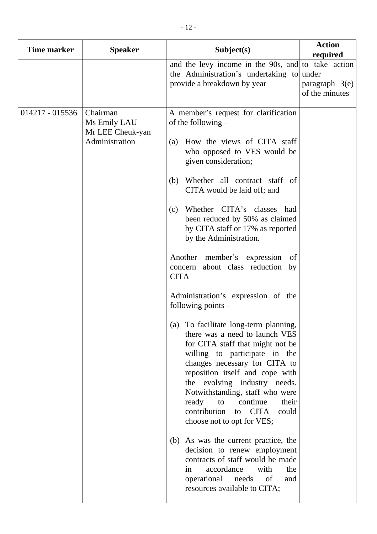| <b>Time marker</b> | <b>Speaker</b>                                                 | Subject(s)                                                                                                                                                                                                                                                                                                                                                                                                                                                                                                                                                                                                                                                                                                                                                                                                                                                                                                                                                                                                                                                                                                                                                   | <b>Action</b><br>required          |
|--------------------|----------------------------------------------------------------|--------------------------------------------------------------------------------------------------------------------------------------------------------------------------------------------------------------------------------------------------------------------------------------------------------------------------------------------------------------------------------------------------------------------------------------------------------------------------------------------------------------------------------------------------------------------------------------------------------------------------------------------------------------------------------------------------------------------------------------------------------------------------------------------------------------------------------------------------------------------------------------------------------------------------------------------------------------------------------------------------------------------------------------------------------------------------------------------------------------------------------------------------------------|------------------------------------|
|                    |                                                                | and the levy income in the 90s, and to take action<br>the Administration's undertaking to under<br>provide a breakdown by year                                                                                                                                                                                                                                                                                                                                                                                                                                                                                                                                                                                                                                                                                                                                                                                                                                                                                                                                                                                                                               | paragraph $3(e)$<br>of the minutes |
| 014217 - 015536    | Chairman<br>Ms Emily LAU<br>Mr LEE Cheuk-yan<br>Administration | A member's request for clarification<br>of the following $-$<br>How the views of CITA staff<br>(a)<br>who opposed to VES would be<br>given consideration;<br>Whether all contract staff of<br>(b)<br>CITA would be laid off; and<br>Whether CITA's classes<br>had<br>(c)<br>been reduced by 50% as claimed<br>by CITA staff or 17% as reported<br>by the Administration.<br>Another member's expression<br>of<br>concern about class reduction<br>by<br><b>CITA</b><br>Administration's expression of the<br>following points $-$<br>(a) To facilitate long-term planning,<br>there was a need to launch VES<br>for CITA staff that might not be<br>willing to participate in the<br>changes necessary for CITA to<br>reposition itself and cope with<br>the evolving industry needs.<br>Notwithstanding, staff who were<br>to<br>continue<br>ready<br>their<br>contribution<br><b>CITA</b><br>could<br>to<br>choose not to opt for VES;<br>(b) As was the current practice, the<br>decision to renew employment<br>contracts of staff would be made<br>accordance<br>with<br>the<br>in<br>operational<br>needs<br>of<br>and<br>resources available to CITA; |                                    |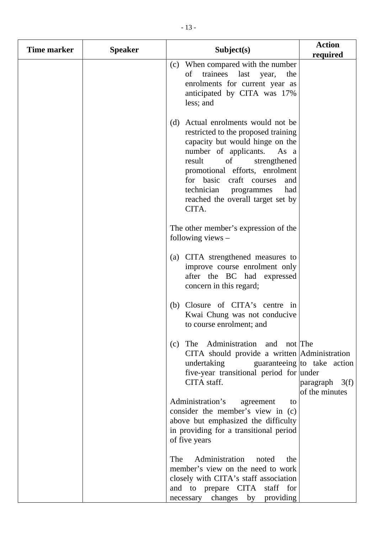| <b>Time marker</b> | <b>Speaker</b> | Subject(s)                                                                                                                                                                                                                                                                                                                         | <b>Action</b><br>required                                                         |
|--------------------|----------------|------------------------------------------------------------------------------------------------------------------------------------------------------------------------------------------------------------------------------------------------------------------------------------------------------------------------------------|-----------------------------------------------------------------------------------|
|                    |                | When compared with the number<br>(c)<br>of trainees last year,<br>the<br>enrolments for current year as<br>anticipated by CITA was 17%<br>less; and                                                                                                                                                                                |                                                                                   |
|                    |                | (d) Actual enrolments would not be<br>restricted to the proposed training<br>capacity but would hinge on the<br>number of applicants.<br>As a<br>result<br>of<br>strengthened<br>promotional efforts, enrolment<br>for basic craft courses<br>and<br>technician<br>had<br>programmes<br>reached the overall target set by<br>CITA. |                                                                                   |
|                    |                | The other member's expression of the<br>following views $-$                                                                                                                                                                                                                                                                        |                                                                                   |
|                    |                | (a) CITA strengthened measures to<br>improve course enrolment only<br>after the BC had expressed<br>concern in this regard;                                                                                                                                                                                                        |                                                                                   |
|                    |                | (b) Closure of CITA's centre in<br>Kwai Chung was not conducive<br>to course enrolment; and                                                                                                                                                                                                                                        |                                                                                   |
|                    |                | The Administration and not The<br>(c)<br>CITA should provide a written Administration<br>undertaking<br>five-year transitional period for under<br>CITA staff.                                                                                                                                                                     | guaranteeing $\vert$ to take action<br>$\beta$ paragraph $3(f)$<br>of the minutes |
|                    |                | Administration's<br>agreement<br>to<br>consider the member's view in (c)<br>above but emphasized the difficulty<br>in providing for a transitional period<br>of five years                                                                                                                                                         |                                                                                   |
|                    |                | Administration<br>The<br>noted<br>the<br>member's view on the need to work<br>closely with CITA's staff association<br>and to prepare CITA staff for<br>necessary changes by<br>providing                                                                                                                                          |                                                                                   |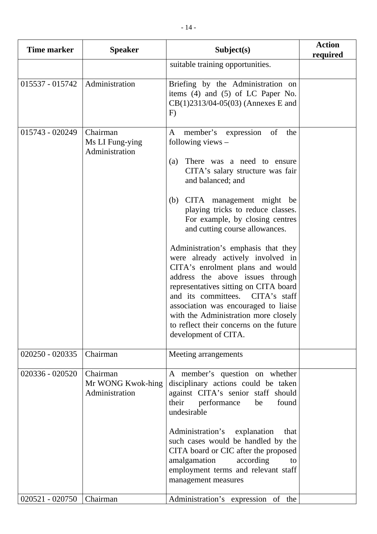| <b>Time marker</b> | <b>Speaker</b>                                  | Subject(s)                                                                                                                                                                                                                                                                                                                                                                                                                                                                                                                                                                                                                                                                                                  | <b>Action</b><br>required |
|--------------------|-------------------------------------------------|-------------------------------------------------------------------------------------------------------------------------------------------------------------------------------------------------------------------------------------------------------------------------------------------------------------------------------------------------------------------------------------------------------------------------------------------------------------------------------------------------------------------------------------------------------------------------------------------------------------------------------------------------------------------------------------------------------------|---------------------------|
|                    |                                                 | suitable training opportunities.                                                                                                                                                                                                                                                                                                                                                                                                                                                                                                                                                                                                                                                                            |                           |
| 015537 - 015742    | Administration                                  | Briefing by the Administration on<br>items $(4)$ and $(5)$ of LC Paper No.<br>$CB(1)2313/04-05(03)$ (Annexes E and<br>F)                                                                                                                                                                                                                                                                                                                                                                                                                                                                                                                                                                                    |                           |
| 015743 - 020249    | Chairman<br>Ms LI Fung-ying<br>Administration   | member's<br>of<br>$\mathbf{A}$<br>expression<br>the<br>following views $-$<br>There was a need to ensure<br>(a)<br>CITA's salary structure was fair<br>and balanced; and<br>(b) CITA management might be<br>playing tricks to reduce classes.<br>For example, by closing centres<br>and cutting course allowances.<br>Administration's emphasis that they<br>were already actively involved in<br>CITA's enrolment plans and would<br>address the above issues through<br>representatives sitting on CITA board<br>and its committees.<br>$CITA's$ staff<br>association was encouraged to liaise<br>with the Administration more closely<br>to reflect their concerns on the future<br>development of CITA. |                           |
| 020250 - 020335    | Chairman                                        | Meeting arrangements                                                                                                                                                                                                                                                                                                                                                                                                                                                                                                                                                                                                                                                                                        |                           |
| 020336 - 020520    | Chairman<br>Mr WONG Kwok-hing<br>Administration | A member's question on whether<br>disciplinary actions could be taken<br>against CITA's senior staff should<br>their<br>performance<br>found<br>be<br>undesirable<br>Administration's<br>explanation<br>that<br>such cases would be handled by the<br>CITA board or CIC after the proposed<br>amalgamation<br>according<br>to<br>employment terms and relevant staff<br>management measures                                                                                                                                                                                                                                                                                                                 |                           |
| $020521 - 020750$  | Chairman                                        | Administration's expression of the                                                                                                                                                                                                                                                                                                                                                                                                                                                                                                                                                                                                                                                                          |                           |